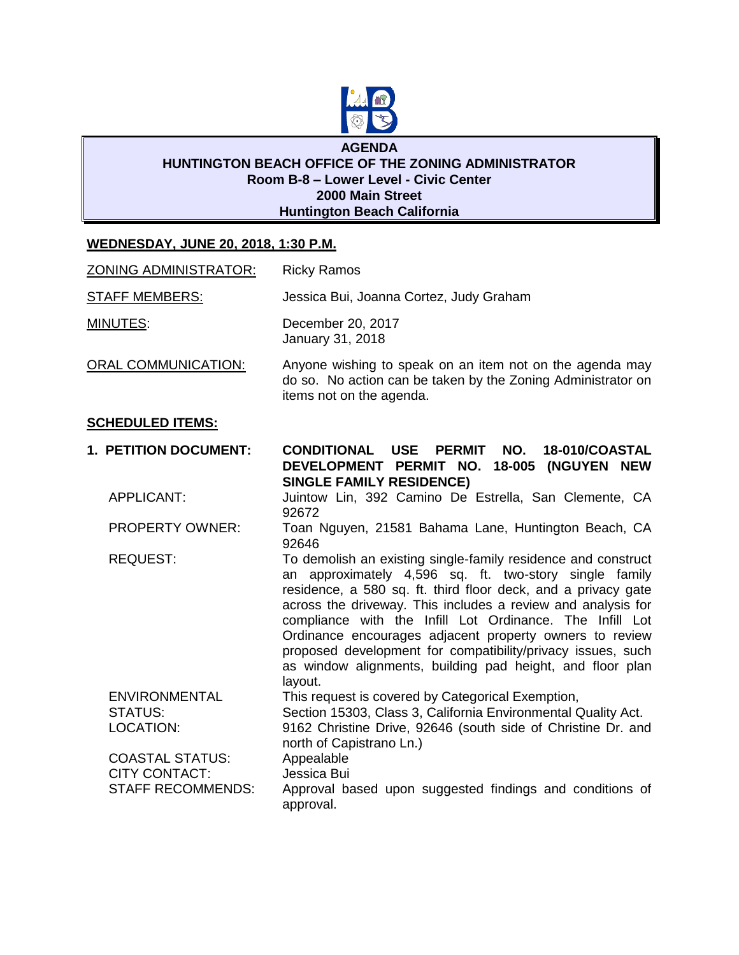

## **AGENDA HUNTINGTON BEACH OFFICE OF THE ZONING ADMINISTRATOR Room B-8 – Lower Level - Civic Center 2000 Main Street Huntington Beach California**

## **WEDNESDAY, JUNE 20, 2018, 1:30 P.M.**

| <u>ZONING ADMINISTRATOR:</u> | <b>Ricky Ramos</b>                                                                                                                                                                                                                                                                                                   |
|------------------------------|----------------------------------------------------------------------------------------------------------------------------------------------------------------------------------------------------------------------------------------------------------------------------------------------------------------------|
| <b>STAFF MEMBERS:</b>        | Jessica Bui, Joanna Cortez, Judy Graham                                                                                                                                                                                                                                                                              |
| MINUTES:                     | December 20, 2017<br>January 31, 2018                                                                                                                                                                                                                                                                                |
| <b>ORAL COMMUNICATION:</b>   | Anyone wishing to speak on an item not on the agenda may<br>do so. No action can be taken by the Zoning Administrator on<br>items not on the agenda.                                                                                                                                                                 |
| <b>SCHEDULED ITEMS:</b>      |                                                                                                                                                                                                                                                                                                                      |
| <b>1. PETITION DOCUMENT:</b> | 18-010/COASTAL<br><b>CONDITIONAL USE</b><br><b>PERMIT</b><br>NO.<br>DEVELOPMENT PERMIT NO. 18-005 (NGUYEN NEW<br><b>SINGLE FAMILY RESIDENCE)</b>                                                                                                                                                                     |
| <b>APPLICANT:</b>            | Juintow Lin, 392 Camino De Estrella, San Clemente, CA<br>92672                                                                                                                                                                                                                                                       |
| <b>PROPERTY OWNER:</b>       | Toan Nguyen, 21581 Bahama Lane, Huntington Beach, CA<br>92646                                                                                                                                                                                                                                                        |
| <b>REQUEST:</b>              | To demolish an existing single-family residence and construct<br>an approximately 4,596 sq. ft. two-story single family<br>residence, a 580 sq. ft. third floor deck, and a privacy gate<br>across the driveway. This includes a review and analysis for<br>compliance with the Infill Lot Ordinance. The Infill Lot |

as window alignments, building pad height, and floor plan layout. ENVIRONMENTAL This request is covered by Categorical Exemption, STATUS: Section 15303, Class 3, California Environmental Quality Act. LOCATION: 9162 Christine Drive, 92646 (south side of Christine Dr. and north of Capistrano Ln.) COASTAL STATUS: Appealable CITY CONTACT: Jessica Bui STAFF RECOMMENDS: Approval based upon suggested findings and conditions of approval.

Ordinance encourages adjacent property owners to review proposed development for compatibility/privacy issues, such